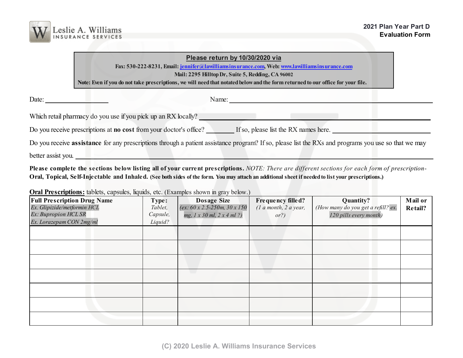

## **Please return by 10/30/2020 via**

**Fax: 530-222-8231, Email: [jennifer@lawilliamsinsurance.com,](mailto:jennifer@lawilliamsinsurance.com) Web: [www.lawilliamsinsurance.com](http://www.lawilliamsinsurance.com)**

**Mail: 2295 Hilltop Dr, Suite 5, Redding, CA 96002**

**Note: Even if you do not take prescriptions, we will need that notated below and the form returned to our office for your file.**

Date: **\_\_\_\_\_\_\_\_\_\_\_\_\_\_\_\_\_\_** Name: **\_\_\_\_\_\_\_\_\_\_\_\_\_\_\_\_\_\_\_\_\_\_\_\_\_\_\_\_\_\_\_\_\_\_\_\_\_\_\_\_\_\_\_\_\_\_\_\_\_\_\_\_\_\_\_\_\_\_**

Which retail pharmacy do you use if you pick up an RX locally?

Do you receive prescriptions at **no cost** from your doctor's office? **If** so, please list the RX names here.

Do you receive **assistance** for any prescriptions through a patient assistance program? If so, please list the RXs and programs you use so that we may

better assist you.

**Please complete the sections below listing all of your current prescriptions.** *NOTE: There are different sections for each form of prescription-***Oral, Topical, Self-Injectable and Inhaled. (See both sides of the form. You may attach an additional sheet if needed to list your prescriptions.)**

**Oral Prescriptions:** tablets, capsules, liquids, etc. (Examples shown in gray below.)

| <b>Full Prescription Drug Name</b> | Type:    | <b>Dosage Size</b>                              | Frequency filled?         | Quantity?                          | Mail or |
|------------------------------------|----------|-------------------------------------------------|---------------------------|------------------------------------|---------|
| Ex. Glipizide/metformin HCL        | Tablet,  | (ex: $60 \times 2.5 - 250m$ , $30 \times 150$ ) | $(1$ a month, $2$ a year, | (How many do you get a refill? ex. | Retail? |
| Ex: Bupropion HCL SR               | Capsule, | $mg, 1 \times 30$ ml, $2 \times 4$ ml ?)        | or?)                      | 120 pills every month)             |         |
| Ex. Lorazepam CON 2mg/ml           | Liquid?  |                                                 |                           |                                    |         |
|                                    |          |                                                 |                           |                                    |         |
|                                    |          |                                                 |                           |                                    |         |
|                                    |          |                                                 |                           |                                    |         |
|                                    |          |                                                 |                           |                                    |         |
|                                    |          |                                                 |                           |                                    |         |
|                                    |          |                                                 |                           |                                    |         |
|                                    |          |                                                 |                           |                                    |         |
|                                    |          |                                                 |                           |                                    |         |
|                                    |          |                                                 |                           |                                    |         |
|                                    |          |                                                 |                           |                                    |         |
|                                    |          |                                                 |                           |                                    |         |
|                                    |          |                                                 |                           |                                    |         |
|                                    |          |                                                 |                           |                                    |         |
|                                    |          |                                                 |                           |                                    |         |